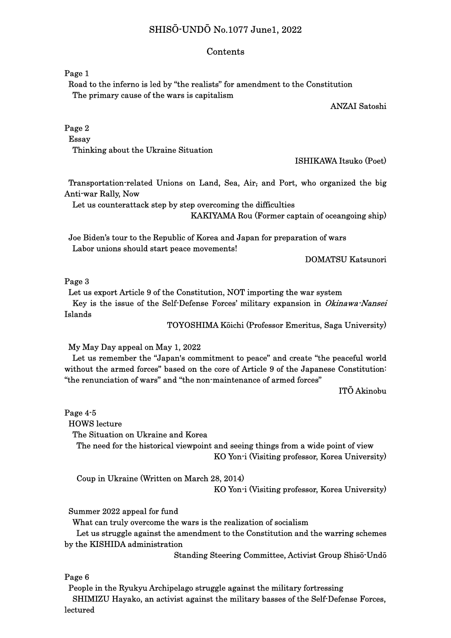# SHISŌ-UNDŌ No.1077 June1, 2022

#### Contents

Page 1

 Road to the inferno is led by "the realists" for amendment to the Constitution The primary cause of the wars is capitalism

ANZAI Satoshi

Page 2

Essay

Thinking about the Ukraine Situation

ISHIKAWA Itsuko (Poet)

 Transportation-related Unions on Land, Sea, Air, and Port, who organized the big Anti-war Rally, Now

Let us counterattack step by step overcoming the difficulties

KAKIYAMA Rou (Former captain of oceangoing ship)

Joe Biden's tour to the Republic of Korea and Japan for preparation of wars Labor unions should start peace movements!

DOMATSU Katsunori

Page 3

 Let us export Article 9 of the Constitution, NOT importing the war system Key is the issue of the Self-Defense Forces' military expansion in Okinawa-Nansei Islands

TOYOSHIMA Kōichi (Professor Emeritus, Saga University)

My May Day appeal on May 1, 2022

Let us remember the "Japan's commitment to peace" and create "the peaceful world without the armed forces" based on the core of Article 9 of the Japanese Constitution: "the renunciation of wars" and "the non-maintenance of armed forces"

ITŌ Akinobu

Page 4-5

HOWS lecture

The Situation on Ukraine and Korea

 The need for the historical viewpoint and seeing things from a wide point of view KO Yon-i (Visiting professor, Korea University)

Coup in Ukraine (Written on March 28, 2014)

KO Yon-i (Visiting professor, Korea University)

Summer 2022 appeal for fund

What can truly overcome the wars is the realization of socialism

 Let us struggle against the amendment to the Constitution and the warring schemes by the KISHIDA administration

Standing Steering Committee, Activist Group Shisō-Undō

Page 6

People in the Ryukyu Archipelago struggle against the military fortressing

 SHIMIZU Hayako, an activist against the military basses of the Self-Defense Forces, lectured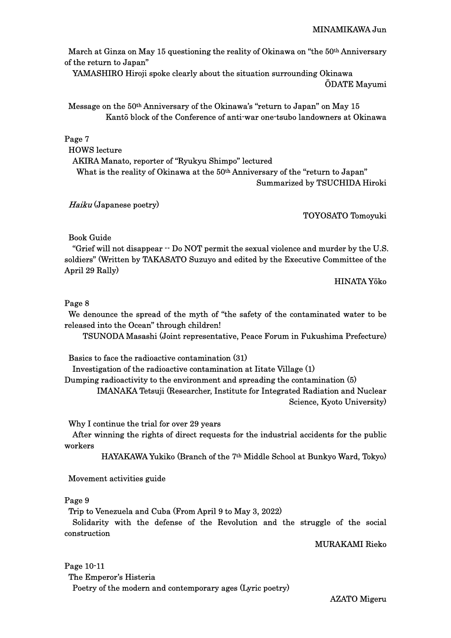MINAMIKAWA Jun

March at Ginza on May 15 questioning the reality of Okinawa on "the 50<sup>th</sup> Anniversary of the return to Japan"

YAMASHIRO Hiroji spoke clearly about the situation surrounding Okinawa ŌDATE Mayumi

 Message on the 50th Anniversary of the Okinawa's "return to Japan" on May 15 Kantō block of the Conference of anti-war one-tsubo landowners at Okinawa

Page 7

HOWS lecture

AKIRA Manato, reporter of "Ryukyu Shimpo" lectured

What is the reality of Okinawa at the 50<sup>th</sup> Anniversary of the "return to Japan" Summarized by TSUCHIDA Hiroki

Haiku (Japanese poetry)

TOYOSATO Tomoyuki

Book Guide

"Grief will not disappear -- Do NOT permit the sexual violence and murder by the U.S. soldiers" (Written by TAKASATO Suzuyo and edited by the Executive Committee of the April 29 Rally)

HINATA Yōko

## Page 8

 We denounce the spread of the myth of "the safety of the contaminated water to be released into the Ocean" through children!

TSUNODA Masashi (Joint representative, Peace Forum in Fukushima Prefecture)

Basics to face the radioactive contamination (31)

Investigation of the radioactive contamination at Iitate Village (1)

Dumping radioactivity to the environment and spreading the contamination (5)

 IMANAKA Tetsuji (Researcher, Institute for Integrated Radiation and Nuclear Science, Kyoto University)

Why I continue the trial for over 29 years

 After winning the rights of direct requests for the industrial accidents for the public workers

HAYAKAWA Yukiko (Branch of the 7th Middle School at Bunkyo Ward, Tokyo)

Movement activities guide

#### Page 9

Trip to Venezuela and Cuba (From April 9 to May 3, 2022)

 Solidarity with the defense of the Revolution and the struggle of the social construction

### MURAKAMI Rieko

Page 10-11 The Emperor's Histeria Poetry of the modern and contemporary ages (Lyric poetry)

AZATO Migeru